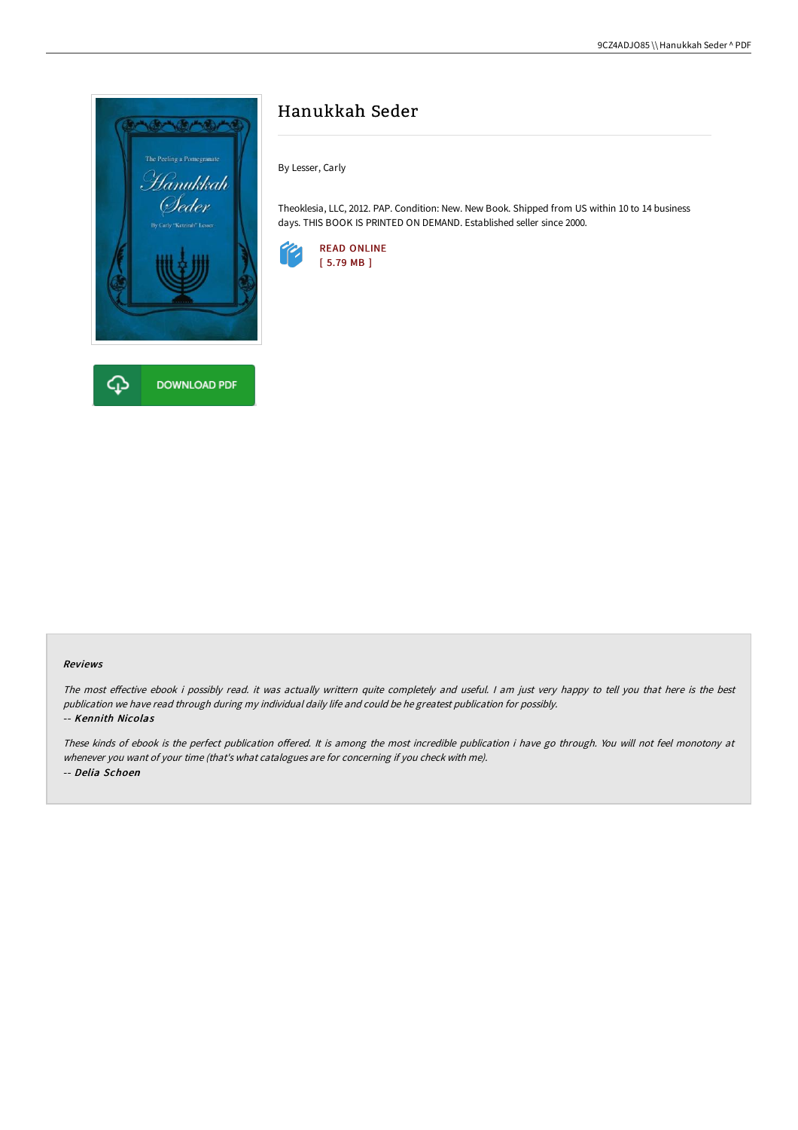

# Hanukkah Seder

By Lesser, Carly

Theoklesia, LLC, 2012. PAP. Condition: New. New Book. Shipped from US within 10 to 14 business days. THIS BOOK IS PRINTED ON DEMAND. Established seller since 2000.



#### Reviews

The most effective ebook i possibly read. it was actually writtern quite completely and useful. I am just very happy to tell you that here is the best publication we have read through during my individual daily life and could be he greatest publication for possibly. -- Kennith Nicolas

These kinds of ebook is the perfect publication offered. It is among the most incredible publication i have go through. You will not feel monotony at whenever you want of your time (that's what catalogues are for concerning if you check with me). -- Delia Schoen